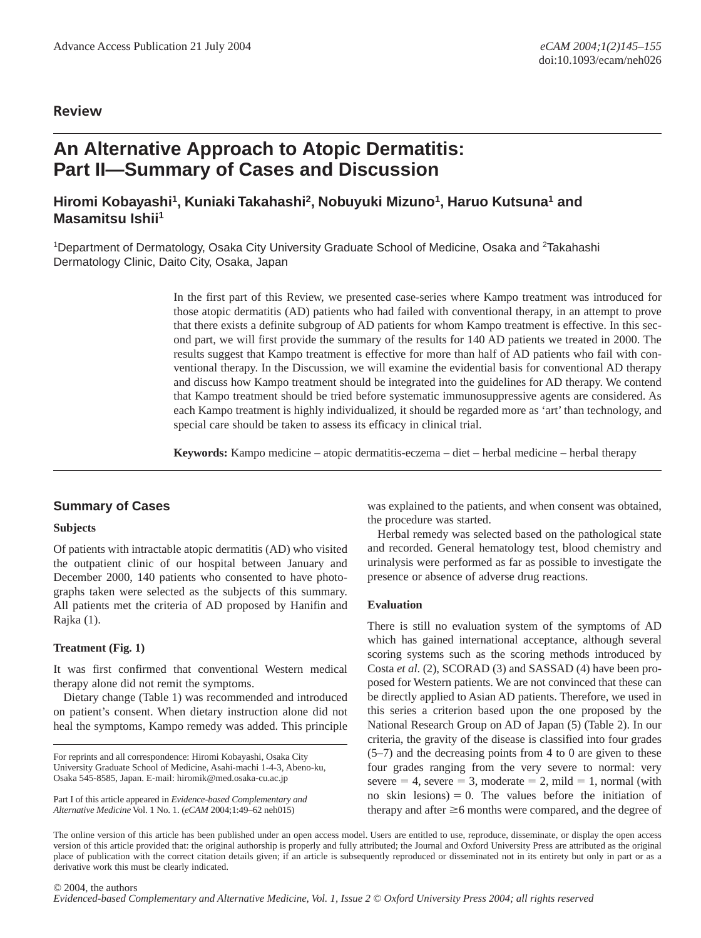# **Review**

# **An Alternative Approach to Atopic Dermatitis: Part II—Summary of Cases and Discussion**

# **Hiromi Kobayashi1, Kuniaki Takahashi2, Nobuyuki Mizuno1, Haruo Kutsuna1 and Masamitsu Ishii1**

<sup>1</sup>Department of Dermatology, Osaka City University Graduate School of Medicine, Osaka and <sup>2</sup>Takahashi Dermatology Clinic, Daito City, Osaka, Japan

> In the first part of this Review, we presented case-series where Kampo treatment was introduced for those atopic dermatitis (AD) patients who had failed with conventional therapy, in an attempt to prove that there exists a definite subgroup of AD patients for whom Kampo treatment is effective. In this second part, we will first provide the summary of the results for 140 AD patients we treated in 2000. The results suggest that Kampo treatment is effective for more than half of AD patients who fail with conventional therapy. In the Discussion, we will examine the evidential basis for conventional AD therapy and discuss how Kampo treatment should be integrated into the guidelines for AD therapy. We contend that Kampo treatment should be tried before systematic immunosuppressive agents are considered. As each Kampo treatment is highly individualized, it should be regarded more as 'art' than technology, and special care should be taken to assess its efficacy in clinical trial.

**Keywords:** Kampo medicine – atopic dermatitis-eczema – diet – herbal medicine – herbal therapy

# **Summary of Cases**

# **Subjects**

Of patients with intractable atopic dermatitis (AD) who visited the outpatient clinic of our hospital between January and December 2000, 140 patients who consented to have photographs taken were selected as the subjects of this summary. All patients met the criteria of AD proposed by Hanifin and Rajka (1).

## **Treatment (Fig. 1)**

It was first confirmed that conventional Western medical therapy alone did not remit the symptoms.

Dietary change (Table 1) was recommended and introduced on patient's consent. When dietary instruction alone did not heal the symptoms, Kampo remedy was added. This principle was explained to the patients, and when consent was obtained, the procedure was started.

Herbal remedy was selected based on the pathological state and recorded. General hematology test, blood chemistry and urinalysis were performed as far as possible to investigate the presence or absence of adverse drug reactions.

#### **Evaluation**

There is still no evaluation system of the symptoms of AD which has gained international acceptance, although several scoring systems such as the scoring methods introduced by Costa *et al*. (2), SCORAD (3) and SASSAD (4) have been proposed for Western patients. We are not convinced that these can be directly applied to Asian AD patients. Therefore, we used in this series a criterion based upon the one proposed by the National Research Group on AD of Japan (5) (Table 2). In our criteria, the gravity of the disease is classified into four grades (5–7) and the decreasing points from 4 to 0 are given to these four grades ranging from the very severe to normal: very severe  $= 4$ , severe  $= 3$ , moderate  $= 2$ , mild  $= 1$ , normal (with no skin lesions)  $= 0$ . The values before the initiation of therapy and after  $\geq 6$  months were compared, and the degree of

The online version of this article has been published under an open access model. Users are entitled to use, reproduce, disseminate, or display the open access version of this article provided that: the original authorship is properly and fully attributed; the Journal and Oxford University Press are attributed as the original place of publication with the correct citation details given; if an article is subsequently reproduced or disseminated not in its entirety but only in part or as a derivative work this must be clearly indicated.

For reprints and all correspondence: Hiromi Kobayashi, Osaka City University Graduate School of Medicine, Asahi-machi 1-4-3, Abeno-ku, Osaka 545-8585, Japan. E-mail: hiromik@med.osaka-cu.ac.jp

Part I of this article appeared in *Evidence-based Complementary and Alternative Medicine* Vol. 1 No. 1. (*eCAM* 2004;1:49–62 neh015)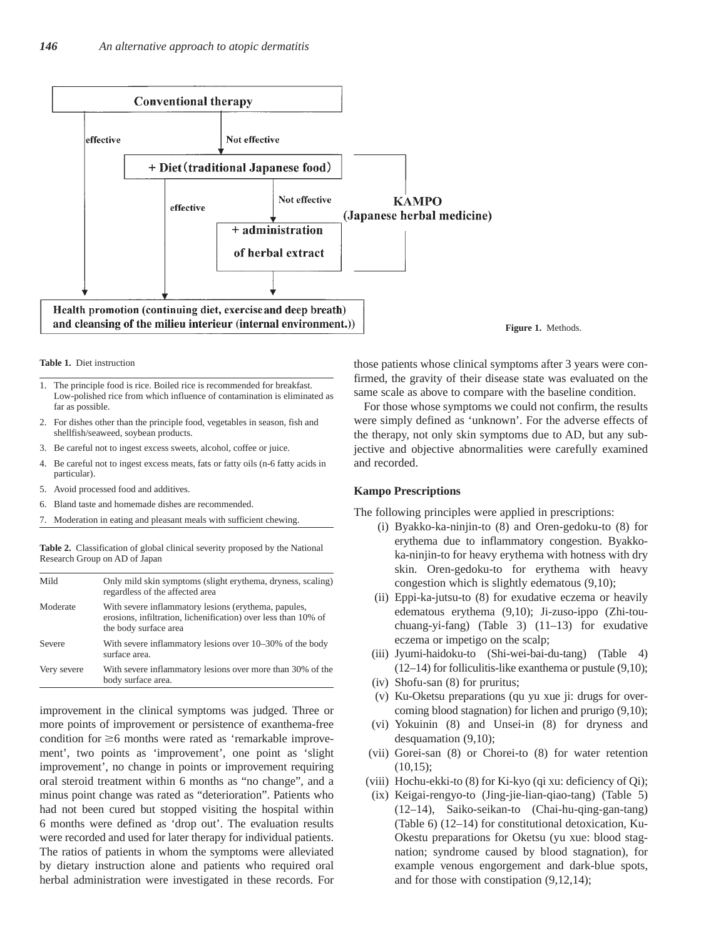

**Table 1.** Diet instruction

- 1. The principle food is rice. Boiled rice is recommended for breakfast. Low-polished rice from which influence of contamination is eliminated as far as possible.
- 2. For dishes other than the principle food, vegetables in season, fish and shellfish/seaweed, soybean products.
- 3. Be careful not to ingest excess sweets, alcohol, coffee or juice.
- 4. Be careful not to ingest excess meats, fats or fatty oils (n-6 fatty acids in particular).
- 5. Avoid processed food and additives.
- 6. Bland taste and homemade dishes are recommended.
- 7. Moderation in eating and pleasant meals with sufficient chewing.

**Table 2.** Classification of global clinical severity proposed by the National Research Group on AD of Japan

| Mild        | Only mild skin symptoms (slight erythema, dryness, scaling)<br>regardless of the affected area                                                  |
|-------------|-------------------------------------------------------------------------------------------------------------------------------------------------|
| Moderate    | With severe inflammatory lesions (erythema, papules,<br>erosions, infiltration, lichenification) over less than 10% of<br>the body surface area |
| Severe      | With severe inflammatory lesions over 10–30% of the body<br>surface area.                                                                       |
| Very severe | With severe inflammatory lesions over more than 30% of the<br>body surface area.                                                                |

improvement in the clinical symptoms was judged. Three or more points of improvement or persistence of exanthema-free condition for  $\geq$ 6 months were rated as 'remarkable improvement', two points as 'improvement', one point as 'slight improvement', no change in points or improvement requiring oral steroid treatment within 6 months as "no change", and a minus point change was rated as "deterioration". Patients who had not been cured but stopped visiting the hospital within 6 months were defined as 'drop out'. The evaluation results were recorded and used for later therapy for individual patients. The ratios of patients in whom the symptoms were alleviated by dietary instruction alone and patients who required oral herbal administration were investigated in these records. For

those patients whose clinical symptoms after 3 years were confirmed, the gravity of their disease state was evaluated on the same scale as above to compare with the baseline condition.

For those whose symptoms we could not confirm, the results were simply defined as 'unknown'. For the adverse effects of the therapy, not only skin symptoms due to AD, but any subjective and objective abnormalities were carefully examined and recorded.

#### **Kampo Prescriptions**

The following principles were applied in prescriptions:

- (i) Byakko-ka-ninjin-to (8) and Oren-gedoku-to (8) for erythema due to inflammatory congestion. Byakkoka-ninjin-to for heavy erythema with hotness with dry skin. Oren-gedoku-to for erythema with heavy congestion which is slightly edematous (9,10);
- (ii) Eppi-ka-jutsu-to (8) for exudative eczema or heavily edematous erythema (9,10); Ji-zuso-ippo (Zhi-touchuang-yi-fang) (Table 3) (11–13) for exudative eczema or impetigo on the scalp;
- (iii) Jyumi-haidoku-to (Shi-wei-bai-du-tang) (Table 4)  $(12–14)$  for folliculitis-like exanthema or pustule  $(9,10)$ ;
- (iv) Shofu-san (8) for pruritus;
- (v) Ku-Oketsu preparations (qu yu xue ji: drugs for overcoming blood stagnation) for lichen and prurigo (9,10);
- (vi) Yokuinin (8) and Unsei-in (8) for dryness and desquamation (9,10);
- (vii) Gorei-san (8) or Chorei-to (8) for water retention  $(10,15);$
- (viii) Hochu-ekki-to (8) for Ki-kyo (qi xu: deficiency of Qi);
- (ix) Keigai-rengyo-to (Jing-jie-lian-qiao-tang) (Table 5) (12–14), Saiko-seikan-to (Chai-hu-qing-gan-tang) (Table 6) (12–14) for constitutional detoxication, Ku-Okestu preparations for Oketsu (yu xue: blood stagnation; syndrome caused by blood stagnation), for example venous engorgement and dark-blue spots, and for those with constipation (9,12,14);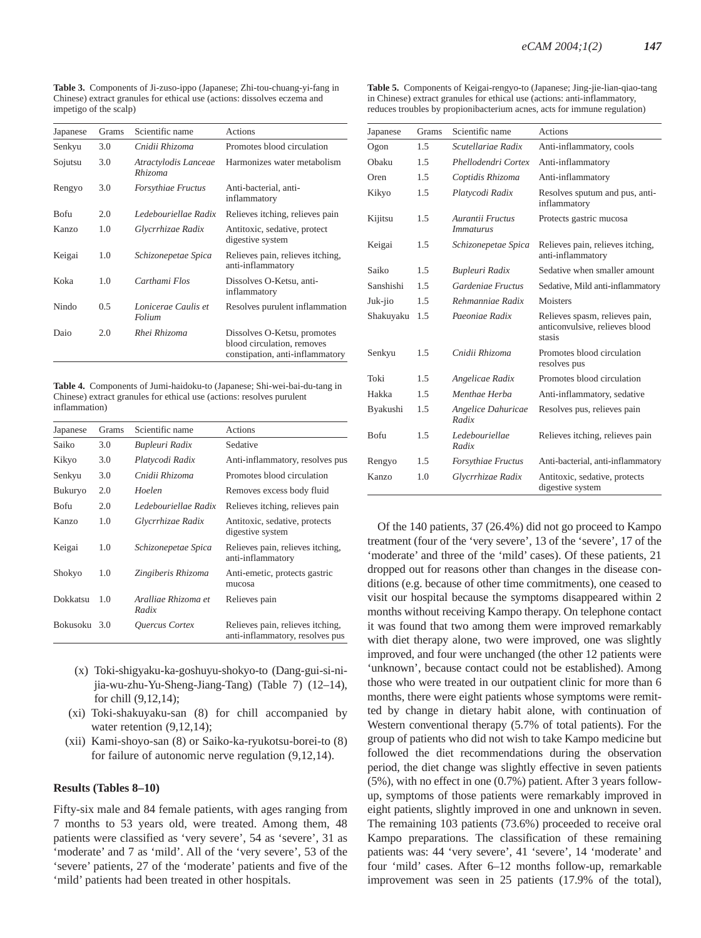**Table 3.** Components of Ji-zuso-ippo (Japanese; Zhi-tou-chuang-yi-fang in Chinese) extract granules for ethical use (actions: dissolves eczema and impetigo of the scalp)

| Japanese     | Grams | Scientific name                 | Actions                                                                                      |
|--------------|-------|---------------------------------|----------------------------------------------------------------------------------------------|
| Senkyu       | 3.0   | Cnidii Rhizoma                  | Promotes blood circulation                                                                   |
| Sojutsu      | 3.0   | Atractylodis Lanceae<br>Rhizoma | Harmonizes water metabolism                                                                  |
| Rengyo       | 3.0   | <b>Forsythiae Fructus</b>       | Anti-bacterial, anti-<br>inflammatory                                                        |
| <b>B</b> ofu | 2.0   | Ledebouriellae Radix            | Relieves itching, relieves pain                                                              |
| Kanzo        | 1.0   | Glycrrhizae Radix               | Antitoxic, sedative, protect<br>digestive system                                             |
| Keigai       | 1.0   | Schizonepetae Spica             | Relieves pain, relieves itching,<br>anti-inflammatory                                        |
| Koka         | 1.0   | Carthami Flos                   | Dissolves O-Ketsu, anti-<br>inflammatory                                                     |
| Nindo        | 0.5   | Lonicerae Caulis et<br>Folium   | Resolves purulent inflammation                                                               |
| Daio         | 2.0   | Rhei Rhizoma                    | Dissolves O-Ketsu, promotes<br>blood circulation, removes<br>constipation, anti-inflammatory |

**Table 4.** Components of Jumi-haidoku-to (Japanese; Shi-wei-bai-du-tang in Chinese) extract granules for ethical use (actions: resolves purulent inflammation)

| Japanese       | Grams | Scientific name              | Actions                                                             |
|----------------|-------|------------------------------|---------------------------------------------------------------------|
| Saiko          | 3.0   | Bupleuri Radix               | Sedative                                                            |
| Kikyo          | 3.0   | Platycodi Radix              | Anti-inflammatory, resolves pus                                     |
| Senkyu         | 3.0   | Cnidii Rhizoma               | Promotes blood circulation                                          |
| <b>Bukuryo</b> | 2.0   | Hoelen                       | Removes excess body fluid                                           |
| Bofu           | 2.0   | Ledebouriellae Radix         | Relieves itching, relieves pain                                     |
| Kanzo          | 1.0   | Glycrrhizae Radix            | Antitoxic, sedative, protects<br>digestive system                   |
| Keigai         | 1.0   | Schizonepetae Spica          | Relieves pain, relieves itching,<br>anti-inflammatory               |
| Shokyo         | 1.0   | Zingiberis Rhizoma           | Anti-emetic, protects gastric<br>mucosa                             |
| Dokkatsu       | 1.0   | Aralliae Rhizoma et<br>Radix | Relieves pain                                                       |
| Bokusoku       | 3.0   | <b>Ouercus Cortex</b>        | Relieves pain, relieves itching,<br>anti-inflammatory, resolves pus |

- (x) Toki-shigyaku-ka-goshuyu-shokyo-to (Dang-gui-si-nijia-wu-zhu-Yu-Sheng-Jiang-Tang) (Table 7) (12–14), for chill (9,12,14);
- (xi) Toki-shakuyaku-san (8) for chill accompanied by water retention  $(9,12,14)$ ;
- (xii) Kami-shoyo-san (8) or Saiko-ka-ryukotsu-borei-to (8) for failure of autonomic nerve regulation (9,12,14).

# **Results (Tables 8–10)**

Fifty-six male and 84 female patients, with ages ranging from 7 months to 53 years old, were treated. Among them, 48 patients were classified as 'very severe', 54 as 'severe', 31 as 'moderate' and 7 as 'mild'. All of the 'very severe', 53 of the 'severe' patients, 27 of the 'moderate' patients and five of the 'mild' patients had been treated in other hospitals.

| <b>Table 5.</b> Components of Keigai-rengyo-to (Japanese; Jing-jie-lian-qiao-tang |  |
|-----------------------------------------------------------------------------------|--|
| in Chinese) extract granules for ethical use (actions: anti-inflammatory,         |  |
| reduces troubles by propionibacterium acnes, acts for immune regulation)          |  |

| Japanese    | Grams | Scientific name                      | Actions                                                                    |
|-------------|-------|--------------------------------------|----------------------------------------------------------------------------|
| Ogon        | 1.5   | Scutellariae Radix                   | Anti-inflammatory, cools                                                   |
| Obaku       | 1.5   | Phellodendri Cortex                  | Anti-inflammatory                                                          |
| Oren        | 1.5   | Coptidis Rhizoma                     | Anti-inflammatory                                                          |
| Kikyo       | 1.5   | Platycodi Radix                      | Resolves sputum and pus, anti-<br>inflammatory                             |
| Kijitsu     | 1.5   | Aurantii Fructus<br><i>Immaturus</i> | Protects gastric mucosa                                                    |
| Keigai      | 1.5   | Schizonepetae Spica                  | Relieves pain, relieves itching,<br>anti-inflammatory                      |
| Saiko       | 1.5   | Bupleuri Radix                       | Sedative when smaller amount                                               |
| Sanshishi   | 1.5   | Gardeniae Fructus                    | Sedative, Mild anti-inflammatory                                           |
| Juk-jio     | 1.5   | Rehmanniae Radix                     | Moisters                                                                   |
| Shakuyaku   | 1.5   | Paeoniae Radix                       | Relieves spasm, relieves pain,<br>anticonvulsive, relieves blood<br>stasis |
| Senkyu      | 1.5   | Cnidii Rhizoma                       | Promotes blood circulation<br>resolves pus                                 |
| Toki        | 1.5   | Angelicae Radix                      | Promotes blood circulation                                                 |
| Hakka       | 1.5   | Menthae Herba                        | Anti-inflammatory, sedative                                                |
| Byakushi    | 1.5   | Angelice Dahuricae<br>Radix          | Resolves pus, relieves pain                                                |
| <b>Bofu</b> | 1.5   | Ledebouriellae<br>Radix              | Relieves itching, relieves pain                                            |
| Rengyo      | 1.5   | <b>Forsythiae Fructus</b>            | Anti-bacterial, anti-inflammatory                                          |
| Kanzo       | 1.0   | Glycrrhizae Radix                    | Antitoxic, sedative, protects<br>digestive system                          |

Of the 140 patients, 37 (26.4%) did not go proceed to Kampo treatment (four of the 'very severe', 13 of the 'severe', 17 of the 'moderate' and three of the 'mild' cases). Of these patients, 21 dropped out for reasons other than changes in the disease conditions (e.g. because of other time commitments), one ceased to visit our hospital because the symptoms disappeared within 2 months without receiving Kampo therapy. On telephone contact it was found that two among them were improved remarkably with diet therapy alone, two were improved, one was slightly improved, and four were unchanged (the other 12 patients were 'unknown', because contact could not be established). Among those who were treated in our outpatient clinic for more than 6 months, there were eight patients whose symptoms were remitted by change in dietary habit alone, with continuation of Western conventional therapy (5.7% of total patients). For the group of patients who did not wish to take Kampo medicine but followed the diet recommendations during the observation period, the diet change was slightly effective in seven patients (5%), with no effect in one (0.7%) patient. After 3 years followup, symptoms of those patients were remarkably improved in eight patients, slightly improved in one and unknown in seven. The remaining 103 patients (73.6%) proceeded to receive oral Kampo preparations. The classification of these remaining patients was: 44 'very severe', 41 'severe', 14 'moderate' and four 'mild' cases. After 6–12 months follow-up, remarkable improvement was seen in 25 patients (17.9% of the total),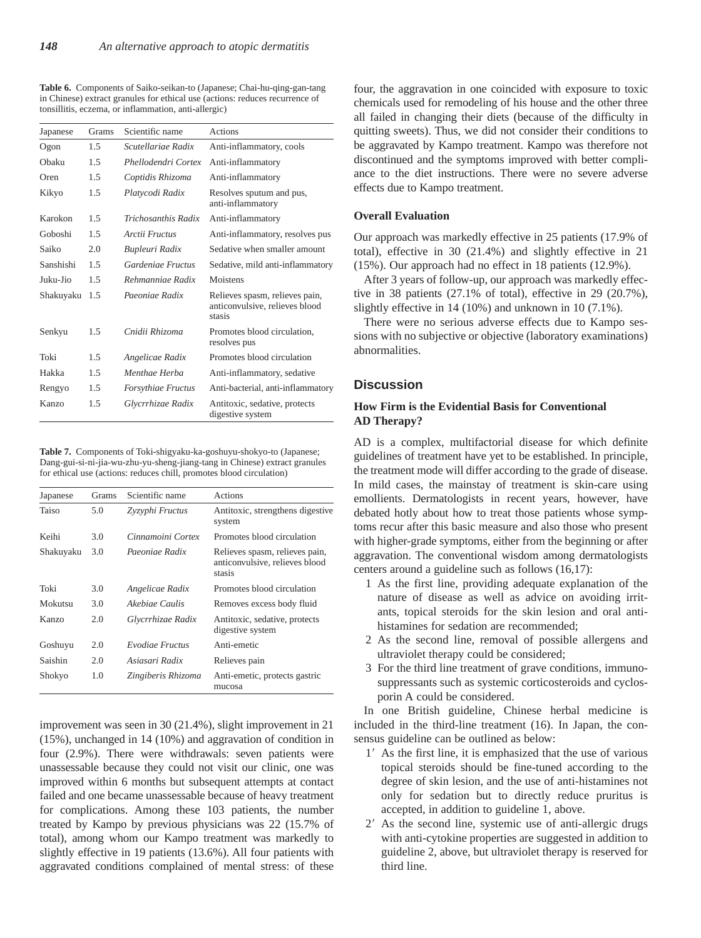**Table 6.** Components of Saiko-seikan-to (Japanese; Chai-hu-qing-gan-tang in Chinese) extract granules for ethical use (actions: reduces recurrence of tonsillitis, eczema, or inflammation, anti-allergic)

| Japanese  | Grams | Scientific name           | Actions                                                                    |  |  |
|-----------|-------|---------------------------|----------------------------------------------------------------------------|--|--|
| Ogon      | 1.5   | Scutellariae Radix        | Anti-inflammatory, cools                                                   |  |  |
| Obaku     | 1.5   | Phellodendri Cortex       | Anti-inflammatory                                                          |  |  |
| Oren      | 1.5   | Coptidis Rhizoma          | Anti-inflammatory                                                          |  |  |
| Kikyo     | 1.5   | Platycodi Radix           | Resolves sputum and pus,<br>anti-inflammatory                              |  |  |
| Karokon   | 1.5   | Trichosanthis Radix       | Anti-inflammatory                                                          |  |  |
| Goboshi   | 1.5   | Arctii Fructus            | Anti-inflammatory, resolves pus                                            |  |  |
| Saiko     | 2.0   | Bupleuri Radix            | Sedative when smaller amount                                               |  |  |
| Sanshishi | 1.5   | Gardeniae Fructus         | Sedative, mild anti-inflammatory                                           |  |  |
| Juku-Jio  | 1.5   | Rehmanniae Radix          | Moistens                                                                   |  |  |
| Shakuyaku | 1.5   | Paeoniae Radix            | Relieves spasm, relieves pain,<br>anticonvulsive, relieves blood<br>stasis |  |  |
| Senkyu    | 1.5   | Cnidii Rhizoma            | Promotes blood circulation.<br>resolves pus                                |  |  |
| Toki      | 1.5   | Angelicae Radix           | Promotes blood circulation                                                 |  |  |
| Hakka     | 1.5   | Menthae Herba             | Anti-inflammatory, sedative                                                |  |  |
| Rengyo    | 1.5   | <b>Forsythiae Fructus</b> | Anti-bacterial, anti-inflammatory                                          |  |  |
| Kanzo     | 1.5   | Glycrrhizae Radix         | Antitoxic, sedative, protects<br>digestive system                          |  |  |

**Table 7.** Components of Toki-shigyaku-ka-goshuyu-shokyo-to (Japanese; Dang-gui-si-ni-jia-wu-zhu-yu-sheng-jiang-tang in Chinese) extract granules for ethical use (actions: reduces chill, promotes blood circulation)

| Japanese  | Grams | Scientific name    | Actions                                                                    |
|-----------|-------|--------------------|----------------------------------------------------------------------------|
| Taiso     | 5.0   | Zyzyphi Fructus    | Antitoxic, strengthens digestive<br>system                                 |
| Keihi     | 3.0   | Cinnamoini Cortex  | Promotes blood circulation                                                 |
| Shakuyaku | 3.0   | Paeoniae Radix     | Relieves spasm, relieves pain,<br>anticonvulsive, relieves blood<br>stasis |
| Toki      | 3.0   | Angelicae Radix    | Promotes blood circulation                                                 |
| Mokutsu   | 3.0   | Akebiae Caulis     | Removes excess body fluid                                                  |
| Kanzo     | 2.0   | Glycrrhizae Radix  | Antitoxic, sedative, protects<br>digestive system                          |
| Goshuyu   | 2.0   | Evodiae Fructus    | Anti-emetic                                                                |
| Saishin   | 2.0   | Asiasari Radix     | Relieves pain                                                              |
| Shokyo    | 1.0   | Zingiberis Rhizoma | Anti-emetic, protects gastric<br>mucosa                                    |

improvement was seen in 30 (21.4%), slight improvement in 21 (15%), unchanged in 14 (10%) and aggravation of condition in four (2.9%). There were withdrawals: seven patients were unassessable because they could not visit our clinic, one was improved within 6 months but subsequent attempts at contact failed and one became unassessable because of heavy treatment for complications. Among these 103 patients, the number treated by Kampo by previous physicians was 22 (15.7% of total), among whom our Kampo treatment was markedly to slightly effective in 19 patients (13.6%). All four patients with aggravated conditions complained of mental stress: of these

four, the aggravation in one coincided with exposure to toxic chemicals used for remodeling of his house and the other three all failed in changing their diets (because of the difficulty in quitting sweets). Thus, we did not consider their conditions to be aggravated by Kampo treatment. Kampo was therefore not discontinued and the symptoms improved with better compliance to the diet instructions. There were no severe adverse effects due to Kampo treatment.

# **Overall Evaluation**

Our approach was markedly effective in 25 patients (17.9% of total), effective in 30 (21.4%) and slightly effective in 21 (15%). Our approach had no effect in 18 patients (12.9%).

After 3 years of follow-up, our approach was markedly effective in 38 patients (27.1% of total), effective in 29 (20.7%), slightly effective in 14 (10%) and unknown in 10 (7.1%).

There were no serious adverse effects due to Kampo sessions with no subjective or objective (laboratory examinations) abnormalities.

# **Discussion**

# **How Firm is the Evidential Basis for Conventional AD Therapy?**

AD is a complex, multifactorial disease for which definite guidelines of treatment have yet to be established. In principle, the treatment mode will differ according to the grade of disease. In mild cases, the mainstay of treatment is skin-care using emollients. Dermatologists in recent years, however, have debated hotly about how to treat those patients whose symptoms recur after this basic measure and also those who present with higher-grade symptoms, either from the beginning or after aggravation. The conventional wisdom among dermatologists centers around a guideline such as follows (16,17):

- 1 As the first line, providing adequate explanation of the nature of disease as well as advice on avoiding irritants, topical steroids for the skin lesion and oral antihistamines for sedation are recommended;
- 2 As the second line, removal of possible allergens and ultraviolet therapy could be considered;
- 3 For the third line treatment of grave conditions, immunosuppressants such as systemic corticosteroids and cyclosporin A could be considered.

In one British guideline, Chinese herbal medicine is included in the third-line treatment (16). In Japan, the consensus guideline can be outlined as below:

- 1 As the first line, it is emphasized that the use of various topical steroids should be fine-tuned according to the degree of skin lesion, and the use of anti-histamines not only for sedation but to directly reduce pruritus is accepted, in addition to guideline 1, above.
- 2 As the second line, systemic use of anti-allergic drugs with anti-cytokine properties are suggested in addition to guideline 2, above, but ultraviolet therapy is reserved for third line.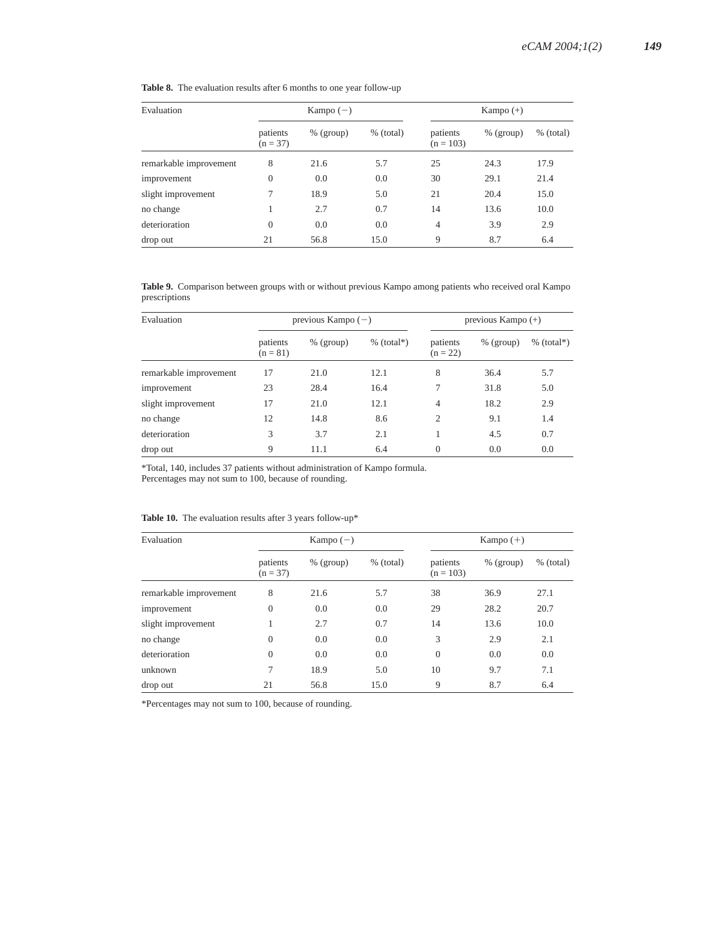#### **Table 8.** The evaluation results after 6 months to one year follow-up

| Evaluation             | Kampo $(-)$            |             |             | Kampo $(+)$             |             |             |
|------------------------|------------------------|-------------|-------------|-------------------------|-------------|-------------|
|                        | patients<br>$(n = 37)$ | $%$ (group) | $%$ (total) | patients<br>$(n = 103)$ | $%$ (group) | $%$ (total) |
| remarkable improvement | 8                      | 21.6        | 5.7         | 25                      | 24.3        | 17.9        |
| improvement            | $\mathbf{0}$           | 0.0         | 0.0         | 30                      | 29.1        | 21.4        |
| slight improvement     | 7                      | 18.9        | 5.0         | 21                      | 20.4        | 15.0        |
| no change              |                        | 2.7         | 0.7         | 14                      | 13.6        | 10.0        |
| deterioration          | $\overline{0}$         | 0.0         | 0.0         | 4                       | 3.9         | 2.9         |
| drop out               | 21                     | 56.8        | 15.0        | 9                       | 8.7         | 6.4         |

**Table 9.** Comparison between groups with or without previous Kampo among patients who received oral Kampo prescriptions

| Evaluation             | previous Kampo $(-)$   |             |              | previous Kampo $(+)$   |             |              |
|------------------------|------------------------|-------------|--------------|------------------------|-------------|--------------|
|                        | patients<br>$(n = 81)$ | $%$ (group) | $%$ (total*) | patients<br>$(n = 22)$ | $%$ (group) | $%$ (total*) |
| remarkable improvement | 17                     | 21.0        | 12.1         | 8                      | 36.4        | 5.7          |
| improvement            | 23                     | 28.4        | 16.4         | 7                      | 31.8        | 5.0          |
| slight improvement     | 17                     | 21.0        | 12.1         | $\overline{4}$         | 18.2        | 2.9          |
| no change              | 12                     | 14.8        | 8.6          | $\overline{c}$         | 9.1         | 1.4          |
| deterioration          | 3                      | 3.7         | 2.1          |                        | 4.5         | 0.7          |
| drop out               | 9                      | 11.1        | 6.4          | $\theta$               | 0.0         | 0.0          |

\*Total, 140, includes 37 patients without administration of Kampo formula. Percentages may not sum to 100, because of rounding.

| Evaluation             | Kampo $(-)$            |             |             | Kampo $(+)$             |             |             |
|------------------------|------------------------|-------------|-------------|-------------------------|-------------|-------------|
|                        | patients<br>$(n = 37)$ | $%$ (group) | $%$ (total) | patients<br>$(n = 103)$ | $%$ (group) | $%$ (total) |
| remarkable improvement | 8                      | 21.6        | 5.7         | 38                      | 36.9        | 27.1        |
| improvement            | $\mathbf{0}$           | 0.0         | 0.0         | 29                      | 28.2        | 20.7        |
| slight improvement     | 1<br>1                 | 2.7         | 0.7         | 14                      | 13.6        | 10.0        |
| no change              | $\overline{0}$         | 0.0         | 0.0         | 3                       | 2.9         | 2.1         |
| deterioration          | $\mathbf{0}$           | 0.0         | 0.0         | $\overline{0}$          | 0.0         | 0.0         |
| unknown                | $\overline{7}$         | 18.9        | 5.0         | 10                      | 9.7         | 7.1         |
| drop out               | 21                     | 56.8        | 15.0        | 9                       | 8.7         | 6.4         |

# **Table 10.** The evaluation results after 3 years follow-up\*

\*Percentages may not sum to 100, because of rounding.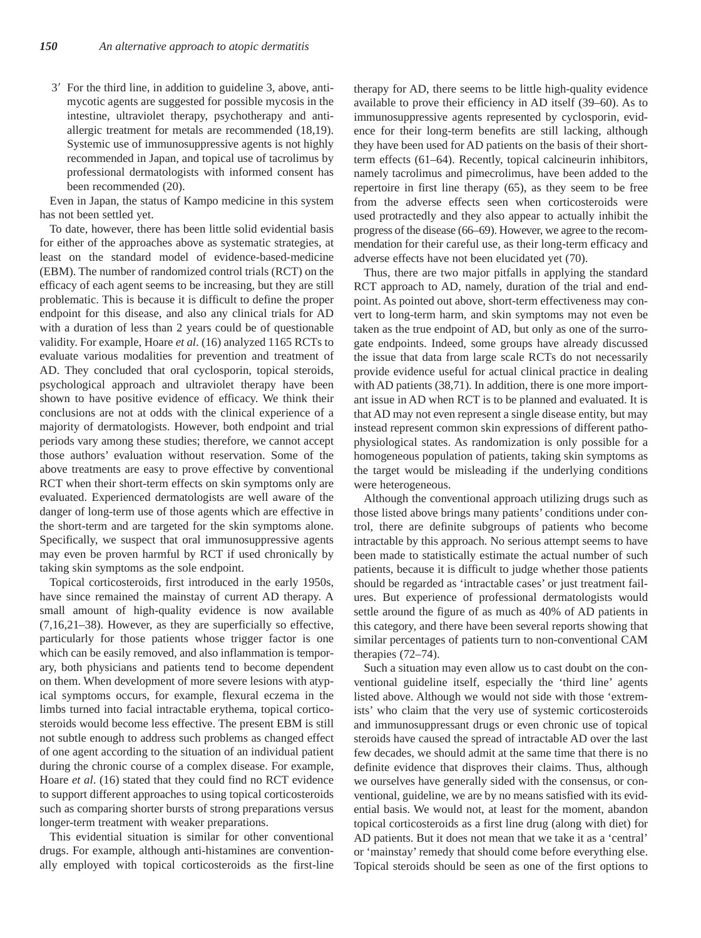3' For the third line, in addition to guideline 3, above, antimycotic agents are suggested for possible mycosis in the intestine, ultraviolet therapy, psychotherapy and antiallergic treatment for metals are recommended (18,19). Systemic use of immunosuppressive agents is not highly recommended in Japan, and topical use of tacrolimus by professional dermatologists with informed consent has been recommended (20).

Even in Japan, the status of Kampo medicine in this system has not been settled yet.

To date, however, there has been little solid evidential basis for either of the approaches above as systematic strategies, at least on the standard model of evidence-based-medicine (EBM). The number of randomized control trials (RCT) on the efficacy of each agent seems to be increasing, but they are still problematic. This is because it is difficult to define the proper endpoint for this disease, and also any clinical trials for AD with a duration of less than 2 years could be of questionable validity. For example, Hoare *et al*. (16) analyzed 1165 RCTs to evaluate various modalities for prevention and treatment of AD. They concluded that oral cyclosporin, topical steroids, psychological approach and ultraviolet therapy have been shown to have positive evidence of efficacy. We think their conclusions are not at odds with the clinical experience of a majority of dermatologists. However, both endpoint and trial periods vary among these studies; therefore, we cannot accept those authors' evaluation without reservation. Some of the above treatments are easy to prove effective by conventional RCT when their short-term effects on skin symptoms only are evaluated. Experienced dermatologists are well aware of the danger of long-term use of those agents which are effective in the short-term and are targeted for the skin symptoms alone. Specifically, we suspect that oral immunosuppressive agents may even be proven harmful by RCT if used chronically by taking skin symptoms as the sole endpoint.

Topical corticosteroids, first introduced in the early 1950s, have since remained the mainstay of current AD therapy. A small amount of high-quality evidence is now available (7,16,21–38). However, as they are superficially so effective, particularly for those patients whose trigger factor is one which can be easily removed, and also inflammation is temporary, both physicians and patients tend to become dependent on them. When development of more severe lesions with atypical symptoms occurs, for example, flexural eczema in the limbs turned into facial intractable erythema, topical corticosteroids would become less effective. The present EBM is still not subtle enough to address such problems as changed effect of one agent according to the situation of an individual patient during the chronic course of a complex disease. For example, Hoare *et al*. (16) stated that they could find no RCT evidence to support different approaches to using topical corticosteroids such as comparing shorter bursts of strong preparations versus longer-term treatment with weaker preparations.

This evidential situation is similar for other conventional drugs. For example, although anti-histamines are conventionally employed with topical corticosteroids as the first-line

therapy for AD, there seems to be little high-quality evidence available to prove their efficiency in AD itself (39–60). As to immunosuppressive agents represented by cyclosporin, evidence for their long-term benefits are still lacking, although they have been used for AD patients on the basis of their shortterm effects (61–64). Recently, topical calcineurin inhibitors, namely tacrolimus and pimecrolimus, have been added to the repertoire in first line therapy (65), as they seem to be free from the adverse effects seen when corticosteroids were used protractedly and they also appear to actually inhibit the progress of the disease (66–69). However, we agree to the recommendation for their careful use, as their long-term efficacy and adverse effects have not been elucidated yet (70).

Thus, there are two major pitfalls in applying the standard RCT approach to AD, namely, duration of the trial and endpoint. As pointed out above, short-term effectiveness may convert to long-term harm, and skin symptoms may not even be taken as the true endpoint of AD, but only as one of the surrogate endpoints. Indeed, some groups have already discussed the issue that data from large scale RCTs do not necessarily provide evidence useful for actual clinical practice in dealing with AD patients (38,71). In addition, there is one more important issue in AD when RCT is to be planned and evaluated. It is that AD may not even represent a single disease entity, but may instead represent common skin expressions of different pathophysiological states. As randomization is only possible for a homogeneous population of patients, taking skin symptoms as the target would be misleading if the underlying conditions were heterogeneous.

Although the conventional approach utilizing drugs such as those listed above brings many patients' conditions under control, there are definite subgroups of patients who become intractable by this approach. No serious attempt seems to have been made to statistically estimate the actual number of such patients, because it is difficult to judge whether those patients should be regarded as 'intractable cases' or just treatment failures. But experience of professional dermatologists would settle around the figure of as much as 40% of AD patients in this category, and there have been several reports showing that similar percentages of patients turn to non-conventional CAM therapies (72–74).

Such a situation may even allow us to cast doubt on the conventional guideline itself, especially the 'third line' agents listed above. Although we would not side with those 'extremists' who claim that the very use of systemic corticosteroids and immunosuppressant drugs or even chronic use of topical steroids have caused the spread of intractable AD over the last few decades, we should admit at the same time that there is no definite evidence that disproves their claims. Thus, although we ourselves have generally sided with the consensus, or conventional, guideline, we are by no means satisfied with its evidential basis. We would not, at least for the moment, abandon topical corticosteroids as a first line drug (along with diet) for AD patients. But it does not mean that we take it as a 'central' or 'mainstay' remedy that should come before everything else. Topical steroids should be seen as one of the first options to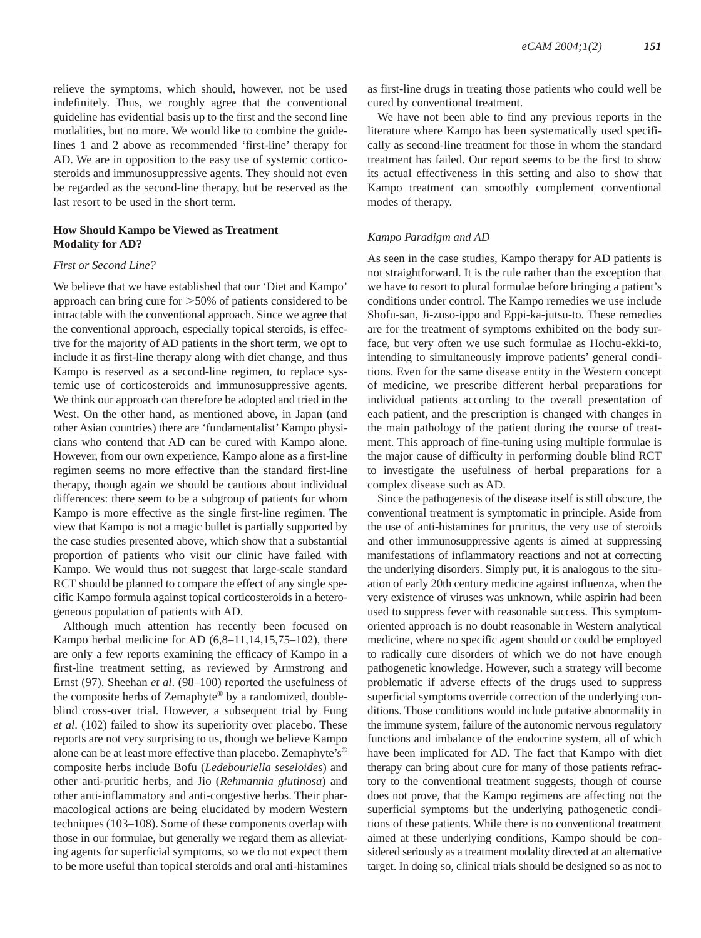relieve the symptoms, which should, however, not be used indefinitely. Thus, we roughly agree that the conventional guideline has evidential basis up to the first and the second line modalities, but no more. We would like to combine the guidelines 1 and 2 above as recommended 'first-line' therapy for AD. We are in opposition to the easy use of systemic corticosteroids and immunosuppressive agents. They should not even be regarded as the second-line therapy, but be reserved as the last resort to be used in the short term.

# **How Should Kampo be Viewed as Treatment Modality for AD?**

#### *First or Second Line?*

We believe that we have established that our 'Diet and Kampo' approach can bring cure for  $>50\%$  of patients considered to be intractable with the conventional approach. Since we agree that the conventional approach, especially topical steroids, is effective for the majority of AD patients in the short term, we opt to include it as first-line therapy along with diet change, and thus Kampo is reserved as a second-line regimen, to replace systemic use of corticosteroids and immunosuppressive agents. We think our approach can therefore be adopted and tried in the West. On the other hand, as mentioned above, in Japan (and other Asian countries) there are 'fundamentalist' Kampo physicians who contend that AD can be cured with Kampo alone. However, from our own experience, Kampo alone as a first-line regimen seems no more effective than the standard first-line therapy, though again we should be cautious about individual differences: there seem to be a subgroup of patients for whom Kampo is more effective as the single first-line regimen. The view that Kampo is not a magic bullet is partially supported by the case studies presented above, which show that a substantial proportion of patients who visit our clinic have failed with Kampo. We would thus not suggest that large-scale standard RCT should be planned to compare the effect of any single specific Kampo formula against topical corticosteroids in a heterogeneous population of patients with AD.

Although much attention has recently been focused on Kampo herbal medicine for AD  $(6,8-11,14,15,75-102)$ , there are only a few reports examining the efficacy of Kampo in a first-line treatment setting, as reviewed by Armstrong and Ernst (97). Sheehan *et al*. (98–100) reported the usefulness of the composite herbs of Zemaphyte® by a randomized, doubleblind cross-over trial. However, a subsequent trial by Fung *et al*. (102) failed to show its superiority over placebo. These reports are not very surprising to us, though we believe Kampo alone can be at least more effective than placebo. Zemaphyte's<sup>®</sup> composite herbs include Bofu (*Ledebouriella seseloides*) and other anti-pruritic herbs, and Jio (*Rehmannia glutinosa*) and other anti-inflammatory and anti-congestive herbs. Their pharmacological actions are being elucidated by modern Western techniques (103–108). Some of these components overlap with those in our formulae, but generally we regard them as alleviating agents for superficial symptoms, so we do not expect them to be more useful than topical steroids and oral anti-histamines

as first-line drugs in treating those patients who could well be cured by conventional treatment.

We have not been able to find any previous reports in the literature where Kampo has been systematically used specifically as second-line treatment for those in whom the standard treatment has failed. Our report seems to be the first to show its actual effectiveness in this setting and also to show that Kampo treatment can smoothly complement conventional modes of therapy.

#### *Kampo Paradigm and AD*

As seen in the case studies, Kampo therapy for AD patients is not straightforward. It is the rule rather than the exception that we have to resort to plural formulae before bringing a patient's conditions under control. The Kampo remedies we use include Shofu-san, Ji-zuso-ippo and Eppi-ka-jutsu-to. These remedies are for the treatment of symptoms exhibited on the body surface, but very often we use such formulae as Hochu-ekki-to, intending to simultaneously improve patients' general conditions. Even for the same disease entity in the Western concept of medicine, we prescribe different herbal preparations for individual patients according to the overall presentation of each patient, and the prescription is changed with changes in the main pathology of the patient during the course of treatment. This approach of fine-tuning using multiple formulae is the major cause of difficulty in performing double blind RCT to investigate the usefulness of herbal preparations for a complex disease such as AD.

Since the pathogenesis of the disease itself is still obscure, the conventional treatment is symptomatic in principle. Aside from the use of anti-histamines for pruritus, the very use of steroids and other immunosuppressive agents is aimed at suppressing manifestations of inflammatory reactions and not at correcting the underlying disorders. Simply put, it is analogous to the situation of early 20th century medicine against influenza, when the very existence of viruses was unknown, while aspirin had been used to suppress fever with reasonable success. This symptomoriented approach is no doubt reasonable in Western analytical medicine, where no specific agent should or could be employed to radically cure disorders of which we do not have enough pathogenetic knowledge. However, such a strategy will become problematic if adverse effects of the drugs used to suppress superficial symptoms override correction of the underlying conditions. Those conditions would include putative abnormality in the immune system, failure of the autonomic nervous regulatory functions and imbalance of the endocrine system, all of which have been implicated for AD. The fact that Kampo with diet therapy can bring about cure for many of those patients refractory to the conventional treatment suggests, though of course does not prove, that the Kampo regimens are affecting not the superficial symptoms but the underlying pathogenetic conditions of these patients. While there is no conventional treatment aimed at these underlying conditions, Kampo should be considered seriously as a treatment modality directed at an alternative target. In doing so, clinical trials should be designed so as not to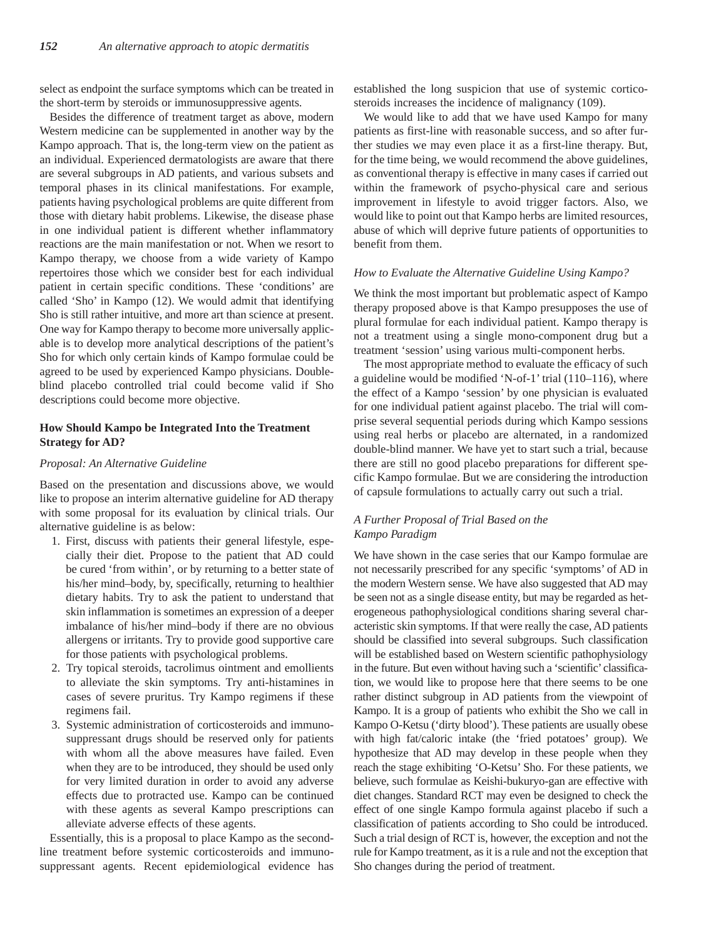select as endpoint the surface symptoms which can be treated in the short-term by steroids or immunosuppressive agents.

Besides the difference of treatment target as above, modern Western medicine can be supplemented in another way by the Kampo approach. That is, the long-term view on the patient as an individual. Experienced dermatologists are aware that there are several subgroups in AD patients, and various subsets and temporal phases in its clinical manifestations. For example, patients having psychological problems are quite different from those with dietary habit problems. Likewise, the disease phase in one individual patient is different whether inflammatory reactions are the main manifestation or not. When we resort to Kampo therapy, we choose from a wide variety of Kampo repertoires those which we consider best for each individual patient in certain specific conditions. These 'conditions' are called 'Sho' in Kampo (12). We would admit that identifying Sho is still rather intuitive, and more art than science at present. One way for Kampo therapy to become more universally applicable is to develop more analytical descriptions of the patient's Sho for which only certain kinds of Kampo formulae could be agreed to be used by experienced Kampo physicians. Doubleblind placebo controlled trial could become valid if Sho descriptions could become more objective.

# **How Should Kampo be Integrated Into the Treatment Strategy for AD?**

#### *Proposal: An Alternative Guideline*

Based on the presentation and discussions above, we would like to propose an interim alternative guideline for AD therapy with some proposal for its evaluation by clinical trials. Our alternative guideline is as below:

- 1. First, discuss with patients their general lifestyle, especially their diet. Propose to the patient that AD could be cured 'from within', or by returning to a better state of his/her mind–body, by, specifically, returning to healthier dietary habits. Try to ask the patient to understand that skin inflammation is sometimes an expression of a deeper imbalance of his/her mind–body if there are no obvious allergens or irritants. Try to provide good supportive care for those patients with psychological problems.
- 2. Try topical steroids, tacrolimus ointment and emollients to alleviate the skin symptoms. Try anti-histamines in cases of severe pruritus. Try Kampo regimens if these regimens fail.
- 3. Systemic administration of corticosteroids and immunosuppressant drugs should be reserved only for patients with whom all the above measures have failed. Even when they are to be introduced, they should be used only for very limited duration in order to avoid any adverse effects due to protracted use. Kampo can be continued with these agents as several Kampo prescriptions can alleviate adverse effects of these agents.

Essentially, this is a proposal to place Kampo as the secondline treatment before systemic corticosteroids and immunosuppressant agents. Recent epidemiological evidence has established the long suspicion that use of systemic corticosteroids increases the incidence of malignancy (109).

We would like to add that we have used Kampo for many patients as first-line with reasonable success, and so after further studies we may even place it as a first-line therapy. But, for the time being, we would recommend the above guidelines, as conventional therapy is effective in many cases if carried out within the framework of psycho-physical care and serious improvement in lifestyle to avoid trigger factors. Also, we would like to point out that Kampo herbs are limited resources, abuse of which will deprive future patients of opportunities to benefit from them.

#### *How to Evaluate the Alternative Guideline Using Kampo?*

We think the most important but problematic aspect of Kampo therapy proposed above is that Kampo presupposes the use of plural formulae for each individual patient. Kampo therapy is not a treatment using a single mono-component drug but a treatment 'session' using various multi-component herbs.

The most appropriate method to evaluate the efficacy of such a guideline would be modified 'N-of-1' trial (110–116), where the effect of a Kampo 'session' by one physician is evaluated for one individual patient against placebo. The trial will comprise several sequential periods during which Kampo sessions using real herbs or placebo are alternated, in a randomized double-blind manner. We have yet to start such a trial, because there are still no good placebo preparations for different specific Kampo formulae. But we are considering the introduction of capsule formulations to actually carry out such a trial.

# *A Further Proposal of Trial Based on the Kampo Paradigm*

We have shown in the case series that our Kampo formulae are not necessarily prescribed for any specific 'symptoms' of AD in the modern Western sense. We have also suggested that AD may be seen not as a single disease entity, but may be regarded as heterogeneous pathophysiological conditions sharing several characteristic skin symptoms. If that were really the case, AD patients should be classified into several subgroups. Such classification will be established based on Western scientific pathophysiology in the future. But even without having such a 'scientific' classification, we would like to propose here that there seems to be one rather distinct subgroup in AD patients from the viewpoint of Kampo. It is a group of patients who exhibit the Sho we call in Kampo O-Ketsu ('dirty blood'). These patients are usually obese with high fat/caloric intake (the 'fried potatoes' group). We hypothesize that AD may develop in these people when they reach the stage exhibiting 'O-Ketsu' Sho. For these patients, we believe, such formulae as Keishi-bukuryo-gan are effective with diet changes. Standard RCT may even be designed to check the effect of one single Kampo formula against placebo if such a classification of patients according to Sho could be introduced. Such a trial design of RCT is, however, the exception and not the rule for Kampo treatment, as it is a rule and not the exception that Sho changes during the period of treatment.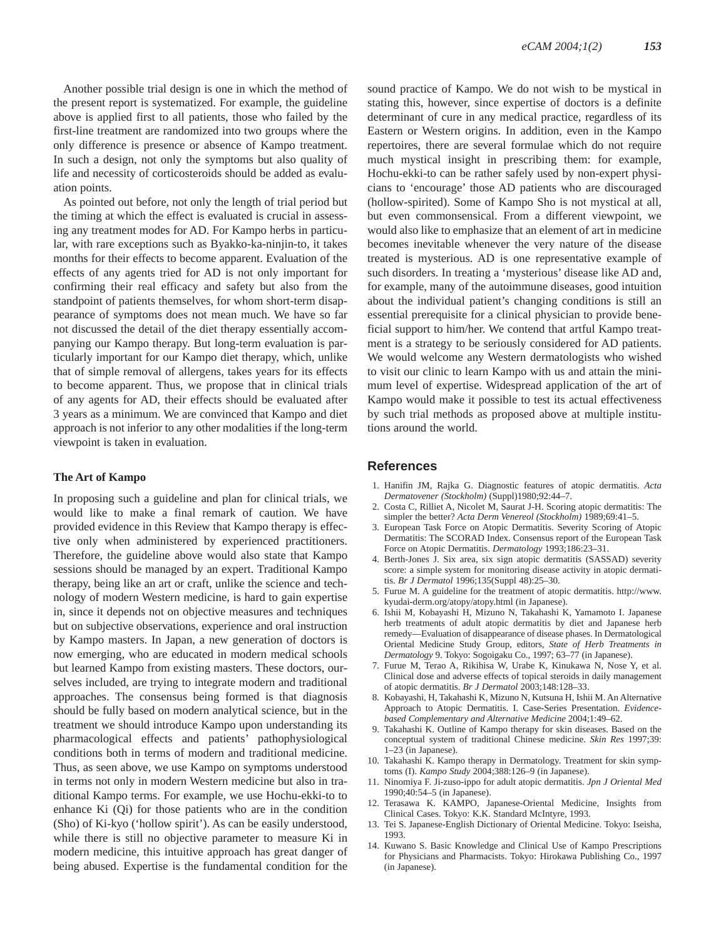Another possible trial design is one in which the method of the present report is systematized. For example, the guideline above is applied first to all patients, those who failed by the first-line treatment are randomized into two groups where the only difference is presence or absence of Kampo treatment. In such a design, not only the symptoms but also quality of life and necessity of corticosteroids should be added as evaluation points.

As pointed out before, not only the length of trial period but the timing at which the effect is evaluated is crucial in assessing any treatment modes for AD. For Kampo herbs in particular, with rare exceptions such as Byakko-ka-ninjin-to, it takes months for their effects to become apparent. Evaluation of the effects of any agents tried for AD is not only important for confirming their real efficacy and safety but also from the standpoint of patients themselves, for whom short-term disappearance of symptoms does not mean much. We have so far not discussed the detail of the diet therapy essentially accompanying our Kampo therapy. But long-term evaluation is particularly important for our Kampo diet therapy, which, unlike that of simple removal of allergens, takes years for its effects to become apparent. Thus, we propose that in clinical trials of any agents for AD, their effects should be evaluated after 3 years as a minimum. We are convinced that Kampo and diet approach is not inferior to any other modalities if the long-term viewpoint is taken in evaluation.

#### **The Art of Kampo**

In proposing such a guideline and plan for clinical trials, we would like to make a final remark of caution. We have provided evidence in this Review that Kampo therapy is effective only when administered by experienced practitioners. Therefore, the guideline above would also state that Kampo sessions should be managed by an expert. Traditional Kampo therapy, being like an art or craft, unlike the science and technology of modern Western medicine, is hard to gain expertise in, since it depends not on objective measures and techniques but on subjective observations, experience and oral instruction by Kampo masters. In Japan, a new generation of doctors is now emerging, who are educated in modern medical schools but learned Kampo from existing masters. These doctors, ourselves included, are trying to integrate modern and traditional approaches. The consensus being formed is that diagnosis should be fully based on modern analytical science, but in the treatment we should introduce Kampo upon understanding its pharmacological effects and patients' pathophysiological conditions both in terms of modern and traditional medicine. Thus, as seen above, we use Kampo on symptoms understood in terms not only in modern Western medicine but also in traditional Kampo terms. For example, we use Hochu-ekki-to to enhance Ki (Qi) for those patients who are in the condition (Sho) of Ki-kyo ('hollow spirit'). As can be easily understood, while there is still no objective parameter to measure Ki in modern medicine, this intuitive approach has great danger of being abused. Expertise is the fundamental condition for the

sound practice of Kampo. We do not wish to be mystical in stating this, however, since expertise of doctors is a definite determinant of cure in any medical practice, regardless of its Eastern or Western origins. In addition, even in the Kampo repertoires, there are several formulae which do not require much mystical insight in prescribing them: for example, Hochu-ekki-to can be rather safely used by non-expert physicians to 'encourage' those AD patients who are discouraged (hollow-spirited). Some of Kampo Sho is not mystical at all, but even commonsensical. From a different viewpoint, we would also like to emphasize that an element of art in medicine becomes inevitable whenever the very nature of the disease treated is mysterious. AD is one representative example of such disorders. In treating a 'mysterious' disease like AD and, for example, many of the autoimmune diseases, good intuition about the individual patient's changing conditions is still an essential prerequisite for a clinical physician to provide beneficial support to him/her. We contend that artful Kampo treatment is a strategy to be seriously considered for AD patients. We would welcome any Western dermatologists who wished to visit our clinic to learn Kampo with us and attain the minimum level of expertise. Widespread application of the art of Kampo would make it possible to test its actual effectiveness by such trial methods as proposed above at multiple institutions around the world.

### **References**

- 1. Hanifin JM, Rajka G. Diagnostic features of atopic dermatitis. *Acta Dermatovener (Stockholm)* (Suppl)1980;92:44–7.
- 2. Costa C, Rilliet A, Nicolet M, Saurat J-H. Scoring atopic dermatitis: The simpler the better? *Acta Derm Venereol (Stockholm)* 1989;69:41–5.
- 3. European Task Force on Atopic Dermatitis. Severity Scoring of Atopic Dermatitis: The SCORAD Index. Consensus report of the European Task Force on Atopic Dermatitis. *Dermatology* 1993;186:23–31.
- 4. Berth-Jones J. Six area, six sign atopic dermatitis [\(SASSAD\)](http://www) severity score: a simple system for monitoring disease activity in atopic dermatitis. *Br J Dermatol* 1996;135(Suppl 48):25–30.
- 5. Furue M. A guideline for the treatment of atopic dermatitis. http://www. kyudai-derm.org/atopy/atopy.html (in Japanese).
- 6. Ishii M, Kobayashi H, Mizuno N, Takahashi K, Yamamoto I. Japanese herb treatments of adult atopic dermatitis by diet and Japanese herb remedy—Evaluation of disappearance of disease phases. In Dermatological Oriental Medicine Study Group, editors, *State of Herb Treatments in Dermatology* 9. Tokyo: Sogoigaku Co., 1997; 63–77 (in Japanese).
- 7. Furue M, Terao A, Rikihisa W, Urabe K, Kinukawa N, Nose Y, et al. Clinical dose and adverse effects of topical steroids in daily management of atopic dermatitis. *Br J Dermatol* 2003;148:128–33.
- 8. Kobayashi, H, Takahashi K, Mizuno N, Kutsuna H, Ishii M. An Alternative Approach to Atopic Dermatitis. I. Case-Series Presentation. *Evidencebased Complementary and Alternative Medicine* 2004;1:49–62.
- 9. Takahashi K. Outline of Kampo therapy for skin diseases. Based on the conceptual system of traditional Chinese medicine. *Skin Res* 1997;39: 1–23 (in Japanese).
- 10. Takahashi K. Kampo therapy in Dermatology. Treatment for skin symptoms (I). *Kampo Study* 2004;388:126–9 (in Japanese).
- 11. Ninomiya F. Ji-zuso-ippo for adult atopic dermatitis. *Jpn J Oriental Med* 1990;40:54–5 (in Japanese).
- 12. Terasawa K. KAMPO, Japanese-Oriental Medicine, Insights from Clinical Cases. Tokyo: K.K. Standard McIntyre, 1993.
- 13. Tei S. Japanese-English Dictionary of Oriental Medicine. Tokyo: Iseisha, 1993.
- 14. Kuwano S. Basic Knowledge and Clinical Use of Kampo Prescriptions for Physicians and Pharmacists. Tokyo: Hirokawa Publishing Co., 1997 (in Japanese).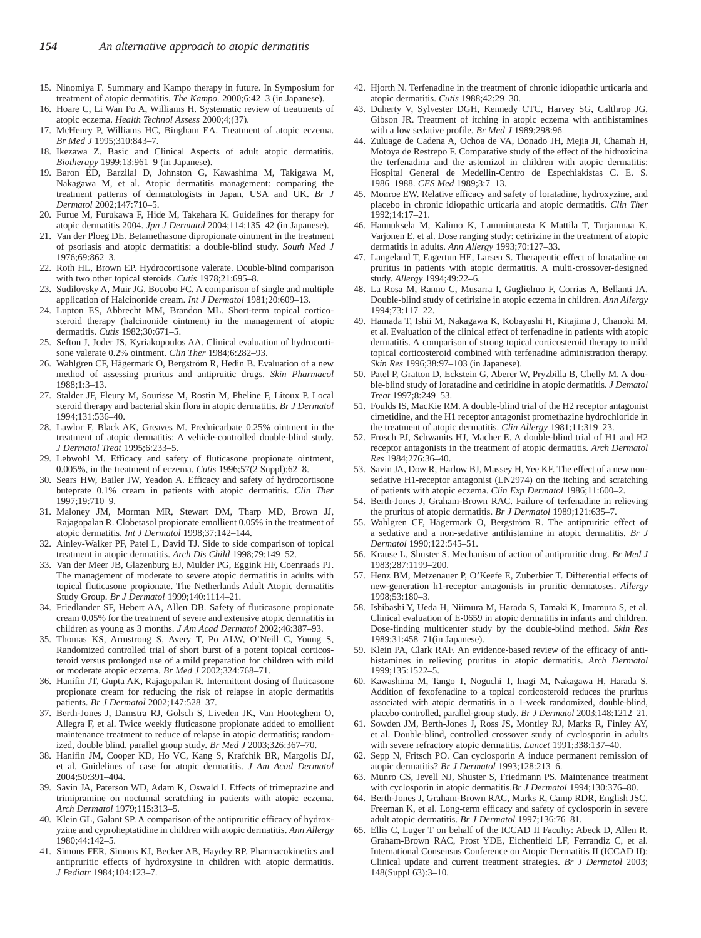- 15. Ninomiya F. Summary and Kampo therapy in future. In Symposium for treatment of atopic dermatitis. *The Kampo.* 2000;6:42–3 (in Japanese).
- 16. Hoare C, Li Wan Po A, Williams H. Systematic review of treatments of atopic eczema. *Health Technol Assess* 2000;4;(37).
- 17. McHenry P, Williams HC, Bingham EA. Treatment of atopic eczema. *Br Med J* 1995;310:843–7.
- 18. Ikezawa Z. Basic and Clinical Aspects of adult atopic dermatitis. *Biotherapy* 1999;13:961–9 (in Japanese).
- 19. Baron ED, Barzilal D, Johnston G, Kawashima M, Takigawa M, Nakagawa M, et al. Atopic dermatitis management: comparing the treatment patterns of dermatologists in Japan, USA and UK. *Br J Dermatol* 2002;147:710–5.
- 20. Furue M, Furukawa F, Hide M, Takehara K. Guidelines for therapy for atopic dermatitis 2004. *Jpn J Dermatol* 2004;114:135–42 (in Japanese).
- 21. Van der Ploeg DE. Betamethasone dipropionate ointment in the treatment of psoriasis and atopic dermatitis: a double-blind study. *South Med J*  $1976.69.862 - 3$
- 22. Roth HL, Brown EP. Hydrocortisone valerate. Double-blind comparison with two other topical steroids. *Cutis* 1978;21:695–8.
- 23. Sudilovsky A, Muir JG, Bocobo FC. A comparison of single and multiple application of Halcinonide cream. *Int J Dermatol* 1981;20:609–13.
- 24. Lupton ES, Abbrecht MM, Brandon ML. Short-term topical corticosteroid therapy (halcinonide ointment) in the management of atopic dermatitis. *Cutis* 1982;30:671–5.
- 25. Sefton J, Joder JS, Kyriakopoulos AA. Clinical evaluation of hydrocortisone valerate 0.2% ointment. *Clin Ther* 1984;6:282–93.
- 26. Wahlgren CF, Hägermark O, Bergström R, Hedin B. Evaluation of a new method of assessing pruritus and antipruitic drugs. *Skin Pharmacol* 1988;1:3–13.
- 27. Stalder JF, Fleury M, Sourisse M, Rostin M, Pheline F, Litoux P. Local steroid therapy and bacterial skin flora in atopic dermatitis. *Br J Dermatol* 1994;131:536–40.
- 28. Lawlor F, Black AK, Greaves M. Prednicarbate 0.25% ointment in the treatment of atopic dermatitis: A vehicle-controlled double-blind study. *J Dermatol Treat* 1995;6:233–5.
- 29. Lebwohl M. Efficacy and safety of fluticasone propionate ointment, 0.005%, in the treatment of eczema. *Cutis* 1996;57(2 Suppl):62–8.
- 30. Sears HW, Bailer JW, Yeadon A. Efficacy and safety of hydrocortisone buteprate 0.1% cream in patients with atopic dermatitis. *Clin Ther* 1997;19:710–9.
- 31. Maloney JM, Morman MR, Stewart DM, Tharp MD, Brown JJ, Rajagopalan R. Clobetasol propionate emollient 0.05% in the treatment of atopic dermatitis. *Int J Dermatol* 1998;37:142–144.
- 32. Ainley-Walker PF, Patel L, David TJ. Side to side comparison of topical treatment in atopic dermatitis. *Arch Dis Child* 1998;79:149–52.
- 33. Van der Meer JB, Glazenburg EJ, Mulder PG, Eggink HF, Coenraads PJ. The management of moderate to severe atopic dermatitis in adults with topical fluticasone propionate. The Netherlands Adult Atopic dermatitis Study Group. *Br J Dermatol* 1999;140:1114–21.
- 34. Friedlander SF, Hebert AA, Allen DB. Safety of fluticasone propionate cream 0.05% for the treatment of severe and extensive atopic dermatitis in children as young as 3 months. *J Am Acad Dermatol* 2002;46:387–93.
- 35. Thomas KS, Armstrong S, Avery T, Po ALW, O'Neill C, Young S, Randomized controlled trial of short burst of a potent topical corticosteroid versus prolonged use of a mild preparation for children with mild or moderate atopic eczema. *Br Med J* 2002;324:768–71.
- 36. Hanifin JT, Gupta AK, Rajagopalan R. Intermittent dosing of fluticasone propionate cream for reducing the risk of relapse in atopic dermatitis patients. *Br J Dermatol* 2002;147:528–37.
- 37. Berth-Jones J, Damstra RJ, Golsch S, Liveden JK, Van Hooteghem O, Allegra F, et al. Twice weekly fluticasone propionate added to emollient maintenance treatment to reduce of relapse in atopic dermatitis; randomized, double blind, parallel group study. *Br Med J* 2003;326:367–70.
- 38. Hanifin JM, Cooper KD, Ho VC, Kang S, Krafchik BR, Margolis DJ, et al. Guidelines of case for atopic dermatitis. *J Am Acad Dermatol* 2004;50:391–404.
- 39. Savin JA, Paterson WD, Adam K, Oswald I. Effects of trimeprazine and trimipramine on nocturnal scratching in patients with atopic eczema. *Arch Dermatol* 1979;115:313–5.
- 40. Klein GL, Galant SP. A comparison of the antipruritic efficacy of hydroxyzine and cyproheptatidine in children with atopic dermatitis. *Ann Allergy* 1980;44:142–5.
- 41. Simons FER, Simons KJ, Becker AB, Haydey RP. Pharmacokinetics and antipruritic effects of hydroxysine in children with atopic dermatitis. *J Pediatr* 1984;104:123–7.
- 42. Hjorth N. Terfenadine in the treatment of chronic idiopathic urticaria and atopic dermatitis. *Cutis* 1988;42:29–30.
- 43. Duherty V, Sylvester DGH, Kennedy CTC, Harvey SG, Calthrop JG, Gibson JR. Treatment of itching in atopic eczema with antihistamines with a low sedative profile. *Br Med J* 1989;298:96
- 44. Zuluage de Cadena A, Ochoa de VA, Donado JH, Mejia JI, Chamah H, Motoya de Restrepo F. Comparative study of the effect of the hidroxicina the terfenadina and the astemizol in children with atopic dermatitis: Hospital General de Medellin-Centro de Espechiakistas C. E. S. 1986–1988. *CES Med* 1989;3:7–13.
- 45. Monroe EW. Relative efficacy and safety of loratadine, hydroxyzine, and placebo in chronic idiopathic urticaria and atopic dermatitis. *Clin Ther* 1992;14:17–21.
- 46. Hannuksela M, Kalimo K, Lammintausta K Mattila T, Turjanmaa K, Varjonen E, et al. Dose ranging study: cetirizine in the treatment of atopic dermatitis in adults. *Ann Allergy* 1993;70:127–33.
- 47. Langeland T, Fagertun HE, Larsen S. Therapeutic effect of loratadine on pruritus in patients with atopic dermatitis. A multi-crossover-designed study. *Allergy* 1994;49:22–6.
- 48. La Rosa M, Ranno C, Musarra I, Guglielmo F, Corrias A, Bellanti JA. Double-blind study of cetirizine in atopic eczema in children. *Ann Allergy* 1994;73:117–22.
- 49. Hamada T, Ishii M, Nakagawa K, Kobayashi H, Kitajima J, Chanoki M, et al. Evaluation of the clinical effect of terfenadine in patients with atopic dermatitis. A comparison of strong topical corticosteroid therapy to mild topical corticosteroid combined with terfenadine administration therapy. *Skin Res* 1996;38:97–103 (in Japanese).
- 50. Patel P, Gratton D, Eckstein G, Aberer W, Pryzbilla B, Chelly M. A double-blind study of loratadine and cetiridine in atopic dermatitis. *J Dematol Treat* 1997;8:249–53.
- 51. Foulds IS, MacKie RM. A double-blind trial of the H2 receptor antagonist cimetidine, and the H1 receptor antagonist promethazine hydrochloride in the treatment of atopic dermatitis. *Clin Allergy* 1981;11:319–23.
- 52. Frosch PJ, Schwanits HJ, Macher E. A double-blind trial of H1 and H2 receptor antagonists in the treatment of atopic dermatitis. *Arch Dermatol Res* 1984;276:36–40.
- 53. Savin JA, Dow R, Harlow BJ, Massey H, Yee KF. The effect of a new nonsedative H1-receptor antagonist (LN2974) on the itching and scratching of patients with atopic eczema. *Clin Exp Dermatol* 1986;11:600–2.
- 54. Berth-Jones J, Graham-Brown RAC. Failure of terfenadine in relieving the pruritus of atopic dermatitis. *Br J Dermatol* 1989;121:635–7.
- 55. Wahlgren CF, Hägermark Ö, Bergström R. The antipruritic effect of a sedative and a non-sedative antihistamine in atopic dermatitis. *Br J Dermatol* 1990;122:545–51.
- 56. Krause L, Shuster S. Mechanism of action of antipruritic drug. *Br Med J* 1983;287:1199–200.
- 57. Henz BM, Metzenauer P, O'Keefe E, Zuberbier T. Differential effects of new-generation h1-receptor antagonists in pruritic dermatoses. *Allergy* 1998;53:180–3.
- 58. Ishibashi Y, Ueda H, Niimura M, Harada S, Tamaki K, Imamura S, et al. Clinical evaluation of E-0659 in atopic dermatitis in infants and children. Dose-finding multicenter study by the double-blind method. *Skin Res* 1989;31:458–71(in Japanese).
- 59. Klein PA, Clark RAF. An evidence-based review of the efficacy of antihistamines in relieving pruritus in atopic dermatitis. *Arch Dermatol* 1999;135:1522–5.
- 60. Kawashima M, Tango T, Noguchi T, Inagi M, Nakagawa H, Harada S. Addition of fexofenadine to a topical corticosteroid reduces the pruritus associated with atopic dermatitis in a 1-week randomized, double-blind, placebo-controlled, parallel-group study. *Br J Dermatol* 2003;148:1212–21.
- 61. Sowden JM, Berth-Jones J, Ross JS, Montley RJ, Marks R, Finley AY, et al. Double-blind, controlled crossover study of cyclosporin in adults with severe refractory atopic dermatitis. *Lancet* 1991;338:137–40.
- 62. Sepp N, Fritsch PO. Can cyclosporin A induce permanent remission of atopic dermatitis? *Br J Dermatol* 1993;128:213–6.
- Munro CS, Jevell NJ, Shuster S, Friedmann PS. Maintenance treatment with cyclosporin in atopic dermatitis.*Br J Dermatol* 1994;130:376–80.
- 64. Berth-Jones J, Graham-Brown RAC, Marks R, Camp RDR, English JSC, Freeman K, et al. Long-term efficacy and safety of cyclosporin in severe adult atopic dermatitis. *Br J Dermatol* 1997;136:76–81.
- 65. Ellis C, Luger T on behalf of the ICCAD II Faculty: Abeck D, Allen R, Graham-Brown RAC, Prost YDE, Eichenfield LF, Ferrandiz C, et al. International Consensus Conference on Atopic Dermatitis II (ICCAD II): Clinical update and current treatment strategies. *Br J Dermatol* 2003; 148(Suppl 63):3–10.